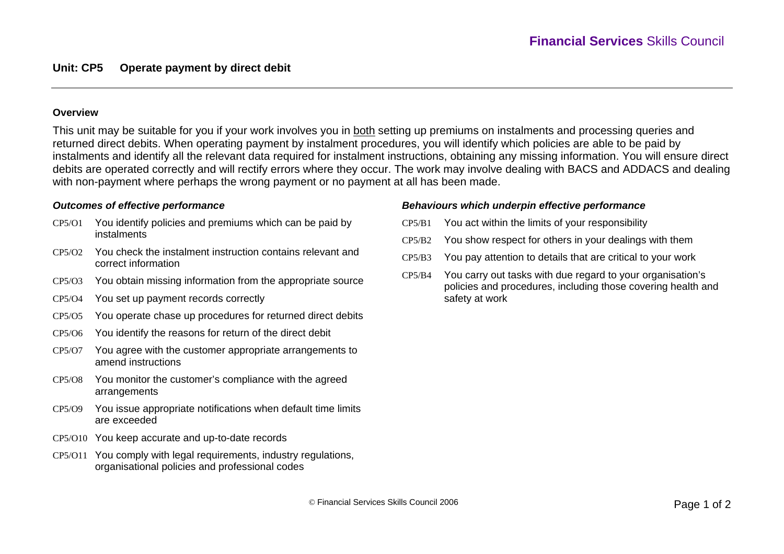### **Overview**

This unit may be suitable for you if your work involves you in both setting up premiums on instalments and processing queries and returned direct debits. When operating payment by instalment procedures, you will identify which policies are able to be paid by instalments and identify all the relevant data required for instalment instructions, obtaining any missing information. You will ensure direct debits are operated correctly and will rectify errors where they occur. The work may involve dealing with BACS and ADDACS and dealing with non-payment where perhaps the wrong payment or no payment at all has been made.

### *Outcomes of effective performance*

- CP5/O1 You identify policies and premiums which can be paid by instalments
- CP5/O2 You check the instalment instruction contains relevant and correct information
- CP5/O3 You obtain missing information from the appropriate source
- CP5/O4 You set up payment records correctly
- CP5/O5 You operate chase up procedures for returned direct debits
- CP5/O6 You identify the reasons for return of the direct debit
- CP5/O7 You agree with the customer appropriate arrangements to amend instructions
- CP5/O8 You monitor the customer's compliance with the agreed arrangements
- CP5/O9 You issue appropriate notifications when default time limits are exceeded
- CP5/O10 You keep accurate and up-to-date records
- CP5/O11 You comply with legal requirements, industry regulations, organisational policies and professional codes

## *Behaviours which underpin effective performance*

- CP5/B1You act within the limits of your responsibility
- CP5/B2You show respect for others in your dealings with them
- CP5/B3 You pay attention to details that are critical to your work
- $CP5/R4$  You carry out tasks with due regard to your organisation's policies and procedures, including those covering health and safety at work